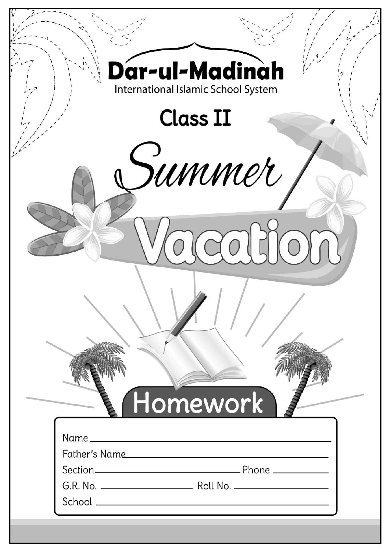| Var-ul-Madinàh<br>International Islamic School System |  |
|-------------------------------------------------------|--|
| <b>Class II</b>                                       |  |
| summer                                                |  |
|                                                       |  |
|                                                       |  |
|                                                       |  |
|                                                       |  |
| Homework                                              |  |
|                                                       |  |
| Father's Name                                         |  |
|                                                       |  |
|                                                       |  |
|                                                       |  |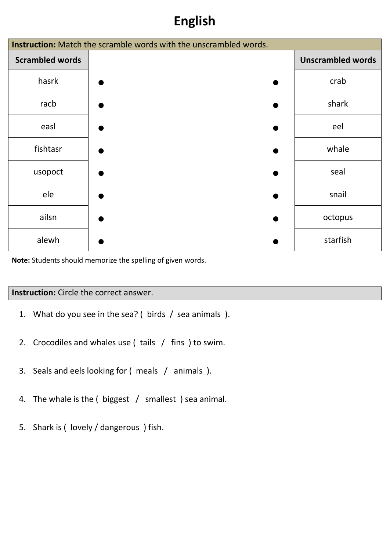## **English**

| <b>Instruction:</b> Match the scramble words with the unscrambled words. |  |                          |  |  |  |  |  |  |  |
|--------------------------------------------------------------------------|--|--------------------------|--|--|--|--|--|--|--|
| <b>Scrambled words</b>                                                   |  | <b>Unscrambled words</b> |  |  |  |  |  |  |  |
| hasrk                                                                    |  | crab                     |  |  |  |  |  |  |  |
| racb                                                                     |  | shark                    |  |  |  |  |  |  |  |
| easl                                                                     |  | eel                      |  |  |  |  |  |  |  |
| fishtasr                                                                 |  | whale                    |  |  |  |  |  |  |  |
| usopoct                                                                  |  | seal                     |  |  |  |  |  |  |  |
| ele                                                                      |  | snail                    |  |  |  |  |  |  |  |
| ailsn                                                                    |  | octopus                  |  |  |  |  |  |  |  |
| alewh                                                                    |  | starfish                 |  |  |  |  |  |  |  |

**Note:** Students should memorize the spelling of given words.

#### **Instruction:** Circle the correct answer.

- 1. What do you see in the sea? ( birds / sea animals ).
- 2. Crocodiles and whales use ( tails / fins ) to swim.
- 3. Seals and eels looking for ( meals / animals ).
- 4. The whale is the ( biggest / smallest ) sea animal.
- 5. Shark is ( lovely / dangerous ) fish.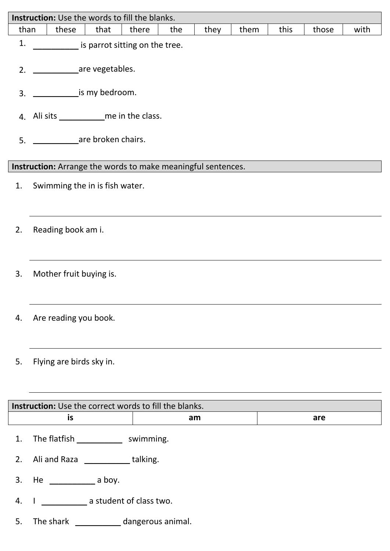|      | <b>Instruction:</b> Use the words to fill the blanks.               |              |      |      |      |       |      |  |  |  |
|------|---------------------------------------------------------------------|--------------|------|------|------|-------|------|--|--|--|
| than | these<br>that                                                       | there<br>the | they | them | this | those | with |  |  |  |
| 1.   | is parrot sitting on the tree.                                      |              |      |      |      |       |      |  |  |  |
|      |                                                                     |              |      |      |      |       |      |  |  |  |
| 3.   | is my bedroom.                                                      |              |      |      |      |       |      |  |  |  |
|      |                                                                     |              |      |      |      |       |      |  |  |  |
| 5.   | are broken chairs.                                                  |              |      |      |      |       |      |  |  |  |
|      | Instruction: Arrange the words to make meaningful sentences.        |              |      |      |      |       |      |  |  |  |
| 1.   | Swimming the in is fish water.                                      |              |      |      |      |       |      |  |  |  |
| 2.   | Reading book am i.                                                  |              |      |      |      |       |      |  |  |  |
| 3.   | Mother fruit buying is.                                             |              |      |      |      |       |      |  |  |  |
| 4.   | Are reading you book.                                               |              |      |      |      |       |      |  |  |  |
| 5.   | Flying are birds sky in.                                            |              |      |      |      |       |      |  |  |  |
|      |                                                                     |              |      |      |      |       |      |  |  |  |
|      | <b>Instruction:</b> Use the correct words to fill the blanks.<br>is | am           |      |      |      | are   |      |  |  |  |
|      |                                                                     |              |      |      |      |       |      |  |  |  |
| 1.   | The flatfish _______________ swimming.                              |              |      |      |      |       |      |  |  |  |
| 2.   | Ali and Raza _____________talking.                                  |              |      |      |      |       |      |  |  |  |
| 3.   |                                                                     |              |      |      |      |       |      |  |  |  |
| 4.   | I ________________ a student of class two.                          |              |      |      |      |       |      |  |  |  |
| 5.   | The shark ______________ dangerous animal.                          |              |      |      |      |       |      |  |  |  |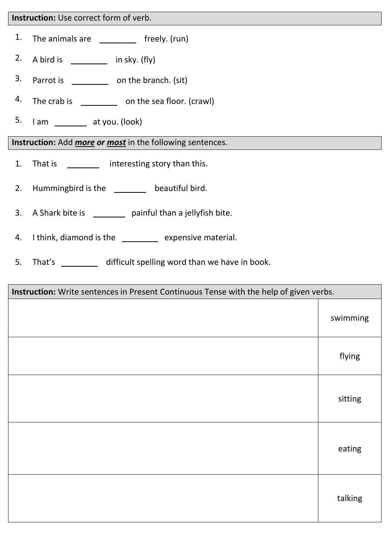#### **Instruction:** Use correct form of verb.

- 1. The animals are  $\qquad \qquad$  freely. (run)
- 2. A bird is  $\frac{1}{\sqrt{1-\frac{1}{\sqrt{1-\frac{1}{\sqrt{1-\frac{1}{\sqrt{1-\frac{1}{\sqrt{1-\frac{1}{\sqrt{1-\frac{1}{\sqrt{1-\frac{1}{\sqrt{1-\frac{1}{\sqrt{1-\frac{1}{\sqrt{1-\frac{1}{\sqrt{1-\frac{1}{\sqrt{1-\frac{1}{\sqrt{1-\frac{1}{\sqrt{1-\frac{1}{\sqrt{1-\frac{1}{\sqrt{1-\frac{1}{\sqrt{1-\frac{1}{\sqrt{1-\frac{1}{\sqrt{1-\frac{1}{\sqrt{1-\frac{1}{\sqrt{1-\frac{1}{\sqrt{1-\frac{1}{\sqrt{1$
- 3. Parrot is \_\_\_\_\_\_\_\_\_\_\_ on the branch. (sit)
- 4. The crab is \_\_\_\_\_\_\_\_\_\_\_ on the sea floor. (crawl)
- 5. I am \_\_\_\_\_\_\_ at you. (look)

**Instruction:** Add *more or most* in the following sentences.

- 1. That is \_\_\_\_\_\_\_\_\_\_ interesting story than this.
- 2. Hummingbird is the \_\_\_\_\_\_\_\_ beautiful bird.
- 3. A Shark bite is \_\_\_\_\_\_\_ painful than a jellyfish bite.
- 4. I think, diamond is the \_\_\_\_\_\_\_\_ expensive material.
- 5. That's \_\_\_\_\_\_\_\_\_ difficult spelling word than we have in book.

| Instruction: Write sentences in Present Continuous Tense with the help of given verbs. |          |
|----------------------------------------------------------------------------------------|----------|
|                                                                                        | swimming |
|                                                                                        | flying   |
|                                                                                        | sitting  |
|                                                                                        | eating   |
|                                                                                        | talking  |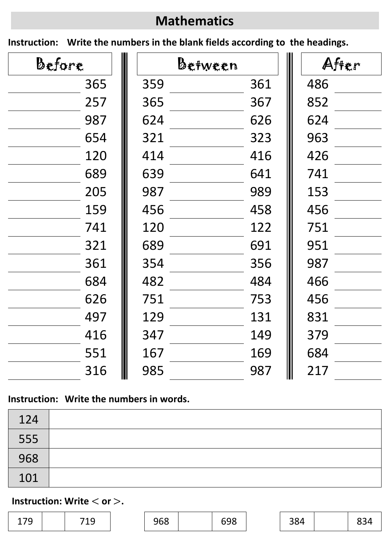# **Mathematics**

**Instruction: Write the numbers in the blank fields according to the headings.**

| Before |     | Befween |     | After |
|--------|-----|---------|-----|-------|
| 365    | 359 | 361     | 486 |       |
| 257    | 365 | 367     | 852 |       |
| 987    | 624 | 626     | 624 |       |
| 654    | 321 | 323     | 963 |       |
| 120    | 414 | 416     | 426 |       |
| 689    | 639 | 641     | 741 |       |
| 205    | 987 | 989     | 153 |       |
| 159    | 456 | 458     | 456 |       |
| 741    | 120 | 122     | 751 |       |
| 321    | 689 | 691     | 951 |       |
| 361    | 354 | 356     | 987 |       |
| 684    | 482 | 484     | 466 |       |
| 626    | 751 | 753     | 456 |       |
| 497    | 129 | 131     | 831 |       |
| 416    | 347 | 149     | 379 |       |
| 551    | 167 | 169     | 684 |       |
| 316    | 985 | 987     | 217 |       |

### **Instruction: Write the numbers in words.**

| 124 |  |
|-----|--|
| 555 |  |
| 968 |  |
| 101 |  |

### **Instruction: Write**  $<$  **or**  $>$ **.**

| 1 7 A<br>∼<br><u>_ , ,</u> |  | ¬ ⊿ ⌒<br>∼<br>ᅩ |  | $\sim$ $\sim$ $\sim$<br>968<br><u>JUU</u> |  | 698 |  | າດ ∧<br>504 |  |  |
|----------------------------|--|-----------------|--|-------------------------------------------|--|-----|--|-------------|--|--|
|----------------------------|--|-----------------|--|-------------------------------------------|--|-----|--|-------------|--|--|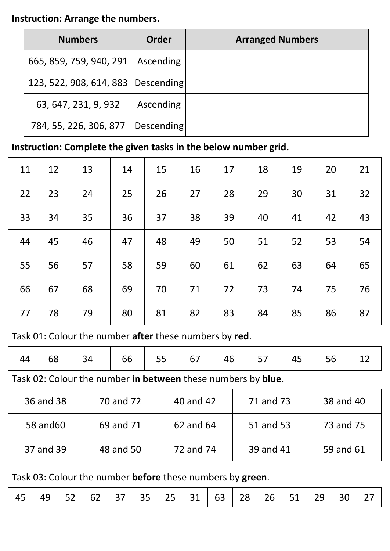#### **Instruction: Arrange the numbers.**

| <b>Numbers</b>                       | <b>Order</b> | <b>Arranged Numbers</b> |
|--------------------------------------|--------------|-------------------------|
| 665, 859, 759, 940, 291              | Ascending    |                         |
| 123, 522, 908, 614, 883   Descending |              |                         |
| 63, 647, 231, 9, 932                 | Ascending    |                         |
| 784, 55, 226, 306, 877               | Descending   |                         |

## **Instruction: Complete the given tasks in the below number grid.**

| 11 | 12 | 13 | 14 | 15 | 16 | 17 | 18 | 19 | 20 | 21 |
|----|----|----|----|----|----|----|----|----|----|----|
| 22 | 23 | 24 | 25 | 26 | 27 | 28 | 29 | 30 | 31 | 32 |
| 33 | 34 | 35 | 36 | 37 | 38 | 39 | 40 | 41 | 42 | 43 |
| 44 | 45 | 46 | 47 | 48 | 49 | 50 | 51 | 52 | 53 | 54 |
| 55 | 56 | 57 | 58 | 59 | 60 | 61 | 62 | 63 | 64 | 65 |
| 66 | 67 | 68 | 69 | 70 | 71 | 72 | 73 | 74 | 75 | 76 |
| 77 | 78 | 79 | 80 | 81 | 82 | 83 | 84 | 85 | 86 | 87 |

Task 01: Colour the number **after** these numbers by **red**.

Task 02: Colour the number **in between** these numbers by **blue**.

| 36 and 38 | 70 and 72 | 40 and 42 | 71 and 73 | 38 and 40 |
|-----------|-----------|-----------|-----------|-----------|
| 58 and 60 | 69 and 71 | 62 and 64 | 51 and 53 | 73 and 75 |
| 37 and 39 | 48 and 50 | 72 and 74 | 39 and 41 | 59 and 61 |

Task 03: Colour the number **before** these numbers by **green**.

|  |  | │ 45 │ 49 │ 52 │ 62 │ 37 │ 35 │ 25 │ 31 │ 63 │ 28 │ 26 │ 51 │ 29 │ 30 │ 27 │ |  |  |  |  |  |  |  |  |  |  |  |  |
|--|--|------------------------------------------------------------------------------|--|--|--|--|--|--|--|--|--|--|--|--|
|--|--|------------------------------------------------------------------------------|--|--|--|--|--|--|--|--|--|--|--|--|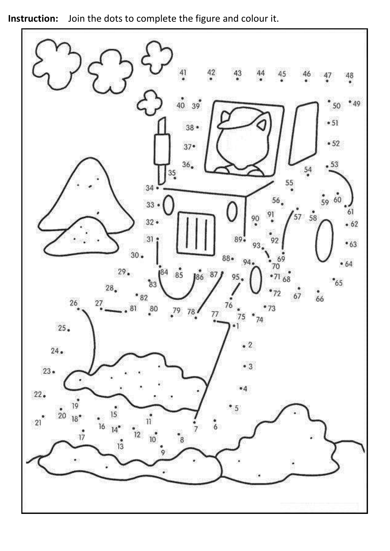**Instruction:** Join the dots to complete the figure and colour it.

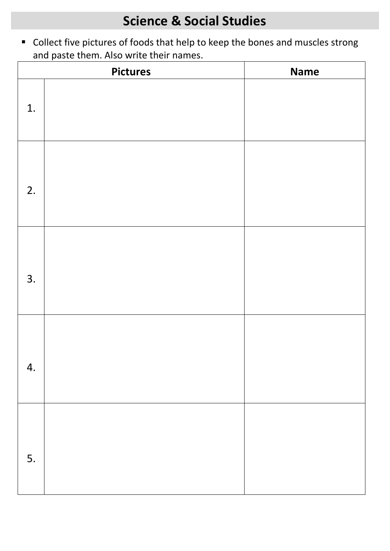Collect five pictures of foods that help to keep the bones and muscles strong and paste them. Also write their names.

|    | <b>Pictures</b> | <b>Name</b> |
|----|-----------------|-------------|
| 1. |                 |             |
| 2. |                 |             |
| 3. |                 |             |
| 4. |                 |             |
| 5. |                 |             |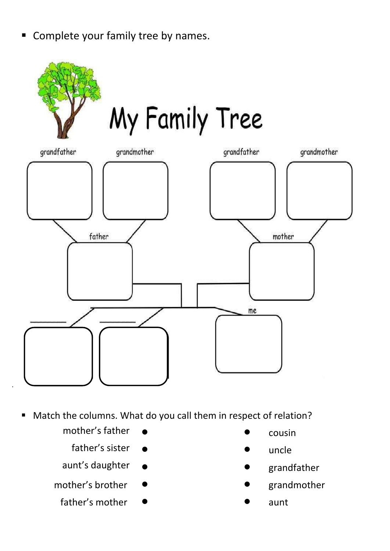**Complete your family tree by names.** 



# My Family Tree



- Match the columns. What do you call them in respect of relation?
	- mother's father  $\bullet$  cousin

.

- father's sister  $\bullet$  uncle
- aunt's daughter  $\bullet$  state of the set of the set of the set of the set of the set of the set of the set of the set of the set of the set of the set of the set of the set of the set of the set of the set of the set of the s
- mother's brother  $\bullet$  strandmother
	- father's mother  $\bullet$  aunt
- 
- 
- 
- 
-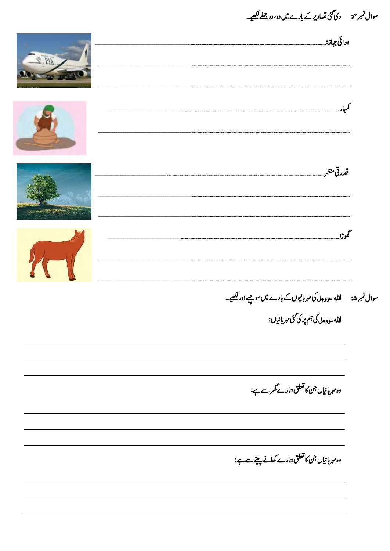سوال نمبر ۴: دی گئی تصاویر کے بارے میں دو، دو جملے لکھیے۔

| <b>CE PIN</b> | ہوائی جہاز:_                                             |  |
|---------------|----------------------------------------------------------|--|
|               |                                                          |  |
|               | قدرتي منظر_                                              |  |
|               | گھوڑا                                                    |  |
|               |                                                          |  |
|               | الله ع <sub>زوجل</sub> کی ہم <i>پر</i> کی گئی مہربانیاں: |  |
|               | وہ مہربانیاں جن کا تعلق ہمارے گھرسے ہے:                  |  |
|               | وہ مہربانیاں جن کا تعلق ہمارے کھانے پینے سے ہے:          |  |
|               |                                                          |  |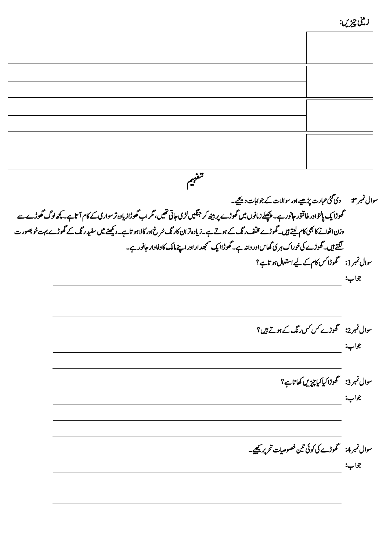| <b>32</b> |  |
|-----------|--|
|           |  |

سوال نمبر ۳: دی گئی عبارت پڑھیے اور سوالات کے جوابات دیجیے۔ تھوڑا یک پالتواور طاقتور جانور ہے۔ پچپلے زمانوں میں گھوڑے پر بیٹھ کر جنگیں لڑی تھیں، گر اب گھوڑا زیادہ تر سواری کے کام آتا ہے۔کچھ لوگ گھوڑے سے وزن اٹھانے کا بھی کام لیتے ہیں۔ گھوڑے مخلف ر نگ کے ہوتے ہے۔زیادہ تر این کار نگ سُرخ اور کالا ہو تاہے۔ دیکھنے میں سفید رنگ کے گھوڑے بہت خو بصور ت لگتے ہیں۔گھوڑے کی خوراک ہری گھاس اور داند ہے۔ گھوڑاا یک سمجھد ار اور اپنے مالک کاوفادار حانور ہے۔ سوال نمبر 1: گھوڑا کس کام کے لیے استعال ہو تاہے؟

وجاب:

وجاب:

سوال نمبر 2: گھوڑے *کس کس ر*نگ کے ہوتے ہیں ؟

وجاب:

سوال نمبر3: گھوڑا کیا کیا چیزیں کھاتاہے؟ وجاب:

سوال نمبر 4: سمھوڑے کی کوئی تین خصوصیات تحریر کیجیے۔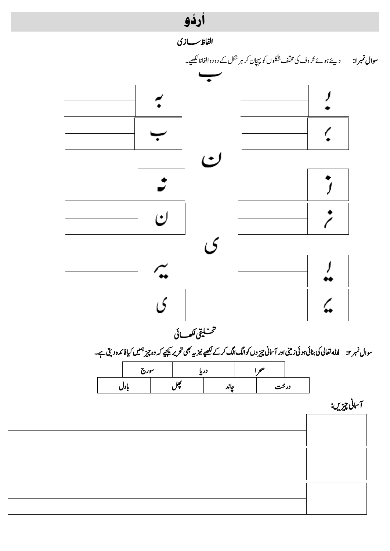



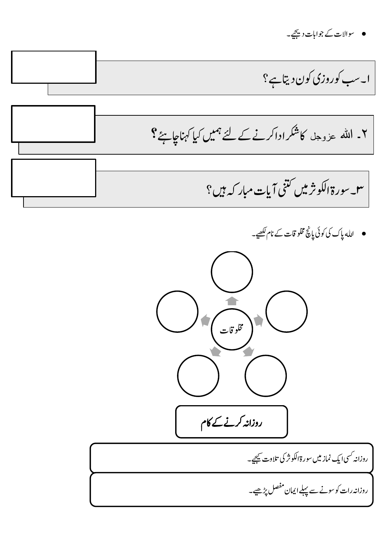

اہلل اپک یک وکیئ اپچن ولخماقتےک انل ےیھکل۔



روزانہ <sup>کس</sup>ی ایک نماز میں سورۃالکوثر کی تلاوت <u>کیج</u>ے۔

روزانہ رات کو سونے سے پہلے ایمان مفصل پڑھیے۔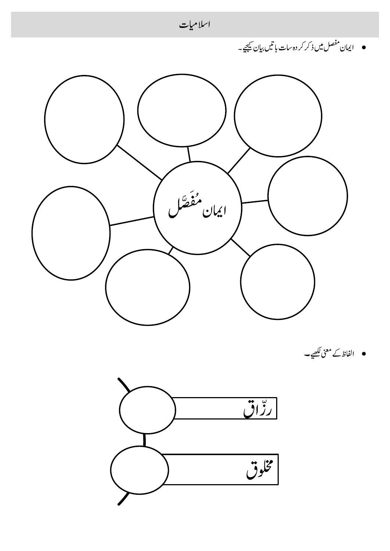

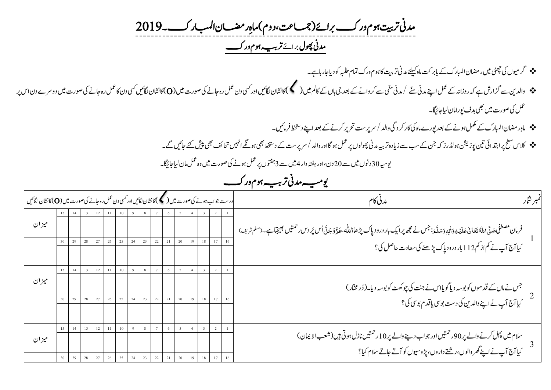تر بیت ہوم ور کے برائے(جمساعت *دمین ت ،دوم( امہ ِراضمن اابملرک۔9102 ت دمین وھپل* رباےئ *رہیب وہم ورک ت ت*

- رگویمں یک یٹھچ ںیم راضمن اابملرک ےک اب ربتک امہ ےئلیک دمین رتتیب اک وہم ورک امتم ہبلط وک دای اج راہ ےہ ۔
- وادلنی ےس زگارش ےہ ہک روزاہن ےک لمع اےنپ دمین ےّنم /دمینیّنم ےسرکواےنےک دعب یج اہں ےک اکمل ںیم) (اک اشنن اگلںیئ اور یسک دن لمع رہ اجےن یک وصرت ںیم )O)اک اشنن اگلںیئ یسک دن اک لمع رہ اجےن یک وصرت ںیم دورسے دن اس رپ عمل کی صورت میں بھی ہدف یورامان لیاجائیگا۔
	- امہِراضمناابملرکےکلمکم وہےن ےک دعب وپرے امہ یک اکررکدیگ وادل/رسرپتس رحتری رکےن ےک دعب اےنپ دطختس رفامںیئ ۔
	- جو کلاس سطح پر ابتدائی تین پوزیش ہولڈرز کہ جن کے سب سے زیادہ تربیہ مدنی پھولوں پر عمل ہو گااور والد / سرپرست کے دستخط بھی پیش کتے گئے تک سے اس سے کے ایک اس سے کے ایک ایک ایک ایک ایک ای<br>میں احتمام الحرمی الیک ایک اجرائیل ا

ویہیم 03دونں ںیم ےس 03دن ، اور ہتفہ وار 4ںیم ےس 0وتفہں رپ لمع وہےن یک وصرت ںیم وہ لمع امن ایل اجاگیئ۔ *ت*

*رہیب وہم ورک ویہیم دمین ت ت*

| درست جواب ہونے کی صورت میں ( کمک) کانشان لگائیں اور کسی دن عمل رہ جانے کی صورت میں (O) کانشان لگائیں |  |    |          |    |          |          |    |    |    |         |    |  |    |    |                                                                                                                                                                                | نمبر شار |
|------------------------------------------------------------------------------------------------------|--|----|----------|----|----------|----------|----|----|----|---------|----|--|----|----|--------------------------------------------------------------------------------------------------------------------------------------------------------------------------------|----------|
| ميزان                                                                                                |  |    |          |    |          |          |    |    |    |         |    |  |    |    | فرمان مصطفى حَملًى <sub>ْ</sub> ادللّٰہُ تَعَانىٰ عَلَيۡهِ وَاٰلِهٖوَ سَلَّۃ : جس نے مجھ پرایک بار درود پاک پڑھا\ملّٰہ حَدَّ وَجَلَّ اُس پَر دس حمتیں بھیجتاہے۔(مسلم شریف)<br> |          |
|                                                                                                      |  |    | 28       | 27 | 26       | 25       | 24 | 23 | 22 | 21      | 20 |  | 18 | 17 | <br>  کیا آج آپ نے کم از کم112 بار درود پاک پڑھنے کی سعادت حاصل کی ؟                                                                                                           |          |
| ميزان                                                                                                |  |    | 13<br>28 | 12 | 11<br>26 | 10<br>25 | 24 | 23 | 22 | 6<br>21 | 20 |  | 18 |    | جس نے ماں کے قد موں کو بوسہ دیا گویااس نے جنت کی چوکھٹ کو بوسہ دیا۔(ڈر مختار)<br> <br> کیا آج آپ نے اپنے والدین کی دست بوسی یا قد م بوسی کی؟                                   |          |
|                                                                                                      |  |    |          |    |          |          |    |    |    |         |    |  |    |    |                                                                                                                                                                                |          |
| ميزان                                                                                                |  | 14 | 13       | 12 | 11       | 10       | 9  | 8  |    | 6       | 5  |  |    |    | سلام میں پہل کرنے والے پر 90رحمتیں اور جواب دینے والے پر 10 رحمتیں نازل ہوتی ہیں (شعب الا یمان )<br>کیا آج آپ نے اپنے گھر والوں، رشتے داروں، پڑ وسیوں کو آتے جاتے سلام کیا؟    |          |
|                                                                                                      |  |    |          |    |          | 25       |    | 23 | 22 | 21      | 20 |  |    |    |                                                                                                                                                                                |          |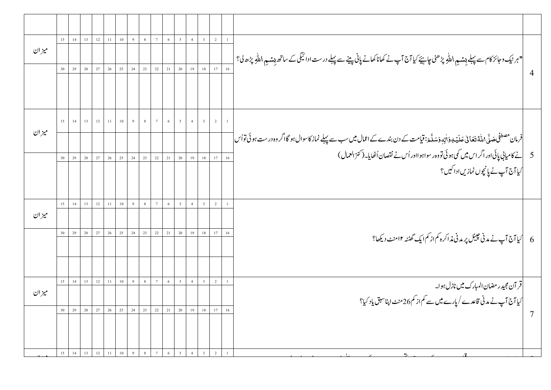|                |                                                                                                                                                                   |    | $\overline{2}$ | $\overline{\mathbf{3}}$ | $\overline{4}$ | $5\overline{ }$ | $\sqrt{6}$ | $7\phantom{.0}$ | 8              | 9  | $10\,$ | $11 -$ | 12     | 13     | 14    | 15 |       |
|----------------|-------------------------------------------------------------------------------------------------------------------------------------------------------------------|----|----------------|-------------------------|----------------|-----------------|------------|-----------------|----------------|----|--------|--------|--------|--------|-------|----|-------|
|                | "ہرنیک وجائز کام سے پہلے <sub>ب</sub> یش <sub>ع</sub> \ للّٰہِ پڑھنی چاہئے کیا آج آپ نے کھانا کھانے پانی پینے سے پہلے درست ادائیگی کے ساتھ بِشمو \ للّٰہِ پڑھ ل؟  |    |                |                         |                |                 |            |                 |                |    |        |        |        |        |       |    | ميزان |
| $\overline{4}$ |                                                                                                                                                                   |    | $17\,$         | $18\,$                  | 19             | $20\,$          | 21         | $22\,$          | $23\,$         | 24 | $25\,$ | $26\,$ | $27\,$ | $28\,$ | 29    | 30 |       |
|                |                                                                                                                                                                   |    |                |                         |                |                 |            |                 |                |    |        |        |        |        |       |    |       |
|                |                                                                                                                                                                   |    |                |                         |                |                 |            |                 |                |    | 10     | 11     | 12     | 13     |       |    |       |
|                | فرمان مصطفٰی صَلَّی املّٰہُ تعَابیٰ عَلَیۡ یِوَاٰلِہٖوَسَلَّٰھَ: قیامت کے دن بندے کے اعمال میں سب سے پہلے نماز کاسوال ہو گا اگر وہ درست ہو ئی توا <sub>ُس</sub> [ |    |                |                         |                |                 |            |                 |                |    |        |        |        |        |       |    | ميزان |
|                | 5 ] نے کامیابی پائی اور اگر اس میں کمی ہوئی تووہ رسواہوااور اُس نے نقصان اُٹھایا۔(کنز العمال )                                                                    | 16 | 17             | $1\,8$                  | 19             | 20              | 21         | $22\,$          | 23             | 24 | $25\,$ | $26\,$ | 27     | 28     | 29    | 30 |       |
|                | <br>  ایا آج آپ نے پانچوں نمازیں ادا کیں؟                                                                                                                         |    |                |                         |                |                 |            |                 |                |    |        |        |        |        |       |    |       |
|                |                                                                                                                                                                   |    |                |                         |                |                 |            |                 |                |    |        |        |        |        |       |    |       |
|                |                                                                                                                                                                   |    | 2              | $\overline{\mathbf{3}}$ | 4              | $5\overline{)}$ | 6          | $7\phantom{.0}$ | 8 <sup>8</sup> | 9  | $10\,$ | 11     | 12     |        | 14 13 | 15 |       |
|                |                                                                                                                                                                   |    |                |                         |                |                 |            |                 |                |    |        |        |        |        |       |    | ميزان |
|                |                                                                                                                                                                   | 16 | 17             | 18                      | 19             | $20\,$          | 21         | $22\,$          | 23             | 24 | 25     | 26     | 27     | 28     | 29    | 30 |       |
|                |                                                                                                                                                                   |    |                |                         |                |                 |            |                 |                |    |        |        |        |        |       |    |       |
|                | قر آن مجید ر مضان المبارک میں نازل ہوا۔                                                                                                                           |    | $\overline{2}$ |                         | $\overline{4}$ | $5\overline{ }$ | 6          |                 | 8              | 9  | 10     | $11\,$ | 12     | 13     | 14    | 15 |       |
|                | کیا آج آپ نے مدنی قاعدے /پارے میں سے کم از کم26منٹ اپناسبق یاد کیا؟                                                                                               |    |                |                         |                |                 |            |                 |                |    |        |        |        |        |       |    | ميزان |
|                |                                                                                                                                                                   | 16 | 17             | 18                      | 19             |                 | 21 20      | 22              | 23             | 24 | 25     | 26     | 27     | 28     | 29    | 30 |       |
|                |                                                                                                                                                                   |    |                |                         |                |                 |            |                 |                |    |        |        |        |        |       |    |       |
|                |                                                                                                                                                                   |    | 2              | $\overline{3}$          | $\overline{4}$ | 5               | 6          | $7\overline{ }$ | 8              | 9  | 10     | 11     | 12     | 13     | 14    | 15 |       |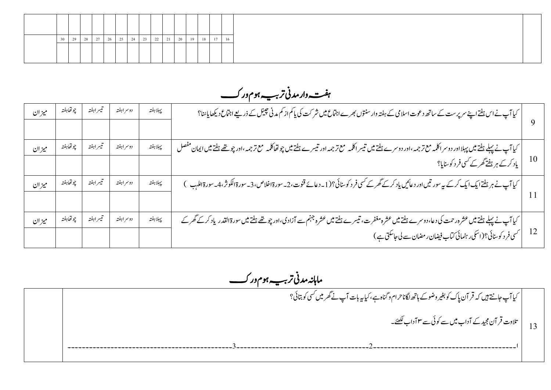*ترہیب وہم ورکت ہتفہ وار دمین* 

| ميزان | چو تھاہفتہ | تيسراهفته   | دوسر اہفتہ | يبهلا هفته | کیا آپ نے اس ہفتے اپنے سرپرست کے ساتھ دعوت اسلامی کے ہفتہ وارسنتوں بھرے اجتماع میں شر کت کی یاکم از کم مدنی حیبیل کے ذریعے اجتماع دیکھایاسًا؟                                                           |      |
|-------|------------|-------------|------------|------------|---------------------------------------------------------------------------------------------------------------------------------------------------------------------------------------------------------|------|
| ميزان | چو تھاہفتہ | تيسراهفته   | دوسر اہفتہ | پېلاہفته   | کیا آپ نے پہلے ہفتے میں پہلااور دوسراکلمہ مع ترجمہ ،اور دوسرے ہفتے میں تیبر اکلمہ مع تشریف تھے۔ میں ایران مفصل<br> <br>  یاد کرے ہر ہفتے گھر کے کسی فر د کوسایا؟                                        |      |
| ميزان | چو تھاہفتہ | تنيسر اہفتہ | دوسر اہفتہ | پہلاہفتہ   | کیا آپ نے ہر ہفتےایک ایک کرکے یہ سور تیں اور دعائیں یاد کرکے گھر کے کسی فر د کوسنائی؟(1۔ دعائے قنوت، 2۔ سورة الكوثر، 4۔ سورة اللہب $\big\{$                                                             |      |
| ميزان | چو تھاہفتہ | تيسراهفته   | دوسراهفته  | يبهلا هفته | کیا آپ نے پہلے ہفتے میں عشرہ رحمت کی دعا، دوسرے ہفتے میں عشرہ مغفرہ کے ساترادی،اور چوتھے ہفتے میں سورۃالقدر یاد کرکے گھر کے<br> <br>  کسی فر د کوسائی؟(اسکی رہنمائی کتاب فیضان ر مضان سے لی جاسکتی ہے ) | - 12 |

 *اماہہندمین رہیب وہم ورک*  تر *بب ہو*م ور کے

13 ایک ٓاپ اجےتن ںیہ ہک رقٓان اپک وک ریغب ووض ےک اہھت اگلان رحام و انگہ ےہ ،ایک ہی ابت ٓاپ ےن رھگ ںیم یسک وک اتبیئ؟ ا تلاوت قر آن مجید کے آداب میں سے کوئی سے ۳ آداب ککھئے۔ ۲۔۔۔۔۔۔۔۔۔۔۔۔۔۔۔۔۔۔۔۔۔۔۔۔۔۔۔۔۔۔۔۔۔۔۔۔۔۔۔۔0۔۔۔۔۔۔۔۔۔۔۔۔۔۔۔۔۔۔۔۔۔۔۔۔۔۔۔۔۔۔۔۔۔۔۔۔۔0۔۔۔۔۔۔۔۔۔۔۔۔۔۔۔۔۔۔۔۔۔۔۔۔۔۔۔۔۔۔۔۔۔۔۔۔۔۔۔۔۔۔۔۔۔۔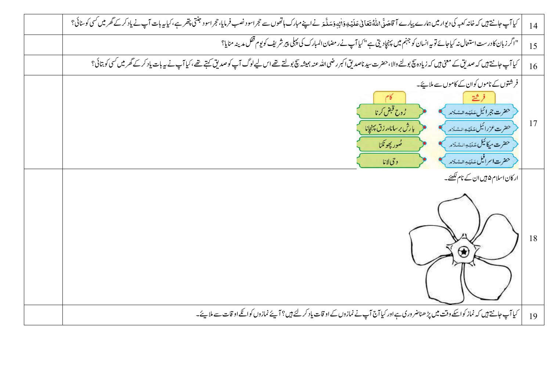